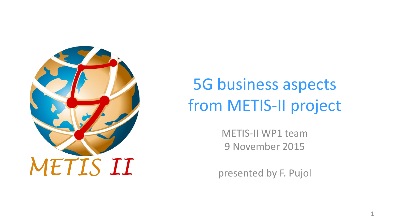

### 5G business aspects from METIS-II project

METIS-II WP1 team 9 November 2015

presented by F. Pujol

1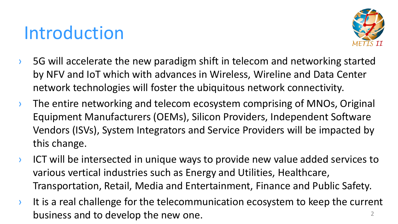### Introduction



- $\rightarrow$  5G will accelerate the new paradigm shift in telecom and networking started by NFV and IoT which with advances in Wireless, Wireline and Data Center network technologies will foster the ubiquitous network connectivity.
- $\rightarrow$  The entire networking and telecom ecosystem comprising of MNOs, Original Equipment Manufacturers (OEMs), Silicon Providers, Independent Software Vendors (ISVs), System Integrators and Service Providers will be impacted by this change.
- › ICT will be intersected in unique ways to provide new value added services to various vertical industries such as Energy and Utilities, Healthcare, Transportation, Retail, Media and Entertainment, Finance and Public Safety.
- $\lambda$  It is a real challenge for the telecommunication ecosystem to keep the current business and to develop the new one. 2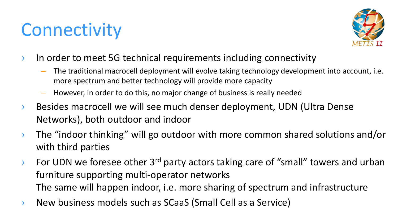# **Connectivity**



- **In order to meet 5G technical requirements including connectivity** 
	- The traditional macrocell deployment will evolve taking technology development into account, i.e. more spectrum and better technology will provide more capacity
	- However, in order to do this, no major change of business is really needed
- › Besides macrocell we will see much denser deployment, UDN (Ultra Dense Networks), both outdoor and indoor
- › The "indoor thinking" will go outdoor with more common shared solutions and/or with third parties
- $\rightarrow$  For UDN we foresee other 3<sup>rd</sup> party actors taking care of "small" towers and urban furniture supporting multi-operator networks The same will happen indoor, i.e. more sharing of spectrum and infrastructure
- › New business models such as SCaaS (Small Cell as a Service)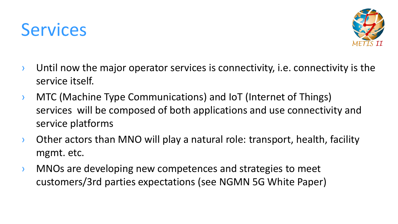### **Services**



- $\rightarrow$  Until now the major operator services is connectivity, i.e. connectivity is the service itself.
- › MTC (Machine Type Communications) and IoT (Internet of Things) services will be composed of both applications and use connectivity and service platforms
- › Other actors than MNO will play a natural role: transport, health, facility mgmt. etc.
- › MNOs are developing new competences and strategies to meet customers/3rd parties expectations (see NGMN 5G White Paper)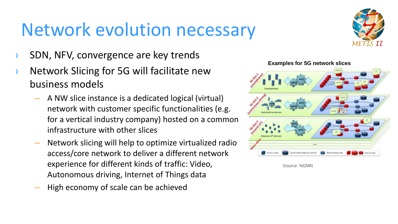# Network evolution necessary

- SDN, NFV, convergence are key trends
- Network Slicing for 5G will facilitate new business models
	- A NW slice instance is a dedicated logical (virtual) network with customer specific functionalities (e.g. for a vertical industry company) hosted on a common infrastructure with other slices
	- Network slicing will help to optimize virtualized radio access/core network to deliver a different network experience for different kinds of traffic: Video, Autonomous driving, Internet of Things data
	- High economy of scale can be achieved





Source: NGMN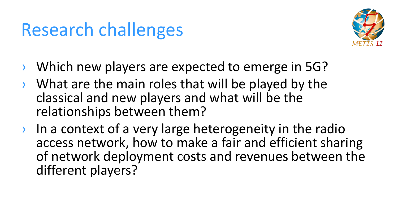### Research challenges



- › Which new players are expected to emerge in 5G?
- What are the main roles that will be played by the classical and new players and what will be the relationships between them?
- › In a context of a very large heterogeneity in the radio access network, how to make a fair and efficient sharing of network deployment costs and revenues between the different players?